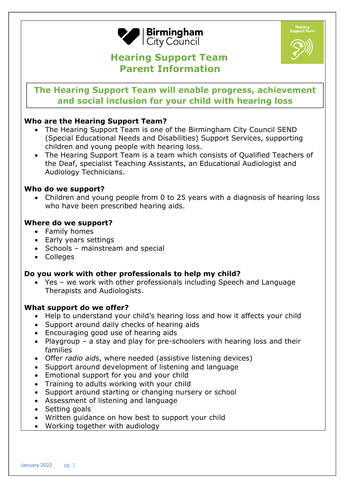

# **Hearing Support Team Parent Information**



## **The Hearing Support Team will enable progress, achievement and social inclusion for your child with hearing loss**

## **Who are the Hearing Support Team?**

- The Hearing Support Team is one of the Birmingham City Council SEND (Special Educational Needs and Disabilities) Support Services, supporting children and young people with hearing loss.
- The Hearing Support Team is a team which consists of Qualified Teachers of the Deaf, specialist Teaching Assistants, an Educational Audiologist and Audiology Technicians.

#### **Who do we support?**

• Children and young people from 0 to 25 years with a diagnosis of hearing loss who have been prescribed hearing aids.

#### **Where do we support?**

- Family homes
- Early years settings
- Schools mainstream and special
- Colleges

## **Do you work with other professionals to help my child?**

• Yes – we work with other professionals including Speech and Language Therapists and Audiologists.

#### **What support do we offer?**

- Help to understand your child's hearing loss and how it affects your child
- Support around daily checks of hearing aids
- Encouraging good use of hearing aids
- Playgroup a stay and play for pre-schoolers with hearing loss and their families
- Offer *radio aid*s, where needed (assistive listening devices)
- Support around development of listening and language
- Emotional support for you and your child
- Training to adults working with your child
- Support around starting or changing nursery or school
- Assessment of listening and language
- Setting goals
- Written guidance on how best to support your child
- Working together with audiology